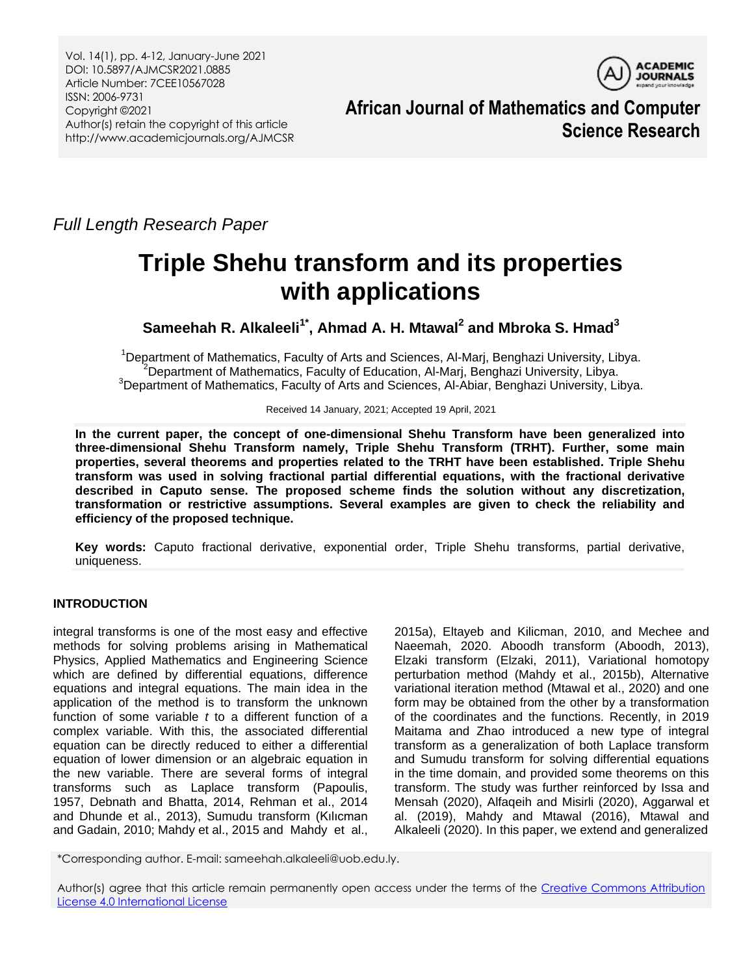Vol. 14(1), pp. 4-12, January-June 2021 DOI: 10.5897/AJMCSR2021.0885 Article Number: 7CEE10567028 ISSN: 2006-9731 Copyright ©2021 Author(s) retain the copyright of this article http://www.academicjournals.org/AJMCSR



**African Journal of Mathematics and Computer Science Research**

*Full Length Research Paper*

# **Triple Shehu transform and its properties with applications**

**Sameehah R. Alkaleeli1\* , Ahmad A. H. Mtawal<sup>2</sup> and Mbroka S. Hmad<sup>3</sup>**

<sup>1</sup>Department of Mathematics, Faculty of Arts and Sciences, Al-Marj, Benghazi University, Libya.  $2$ Department of Mathematics, Faculty of Education, Al-Marj, Benghazi University, Libya.  $3$ Department of Mathematics, Faculty of Arts and Sciences, Al-Abiar, Benghazi University, Libya.

Received 14 January, 2021; Accepted 19 April, 2021

**In the current paper, the concept of one-dimensional Shehu Transform have been generalized into three-dimensional Shehu Transform namely, Triple Shehu Transform (TRHT). Further, some main properties, several theorems and properties related to the TRHT have been established. Triple Shehu transform was used in solving fractional partial differential equations, with the fractional derivative described in Caputo sense. The proposed scheme finds the solution without any discretization, transformation or restrictive assumptions. Several examples are given to check the reliability and efficiency of the proposed technique.**

**Key words:** Caputo fractional derivative, exponential order, Triple Shehu transforms, partial derivative, uniqueness.

## **INTRODUCTION**

integral transforms is one of the most easy and effective methods for solving problems arising in Mathematical Physics, Applied Mathematics and Engineering Science which are defined by differential equations, difference equations and integral equations. The main idea in the application of the method is to transform the unknown function of some variable *t* to a different function of a complex variable. With this, the associated differential equation can be directly reduced to either a differential equation of lower dimension or an algebraic equation in the new variable. There are several forms of integral transforms such as Laplace transform (Papoulis, 1957 Debnath and Bhatta, 2014, Rehman et al., 2014 and Dhunde et al., 2013), Sumudu transform (Kılıcman and Gadain, 2010; Mahdy et al., 2015 and Mahdy et al.,

2015a), Eltayeb and Kilicman, 2010, and Mechee and Naeemah, 2020. Aboodh transform (Aboodh, 2013), Elzaki transform (Elzaki, 2011), Variational homotopy perturbation method (Mahdy et al., 2015b), Alternative variational iteration method (Mtawal et al., 2020) and one form may be obtained from the other by a transformation of the coordinates and the functions. Recently, in 2019 Maitama and Zhao introduced a new type of integral transform as a generalization of both Laplace transform and Sumudu transform for solving differential equations in the time domain, and provided some theorems on this transform. The study was further reinforced by Issa and Mensah (2020), Alfaqeih and Misirli (2020), Aggarwal et al. (2019), Mahdy and Mtawal (2016), Mtawal and Alkaleeli (2020). In this paper, we extend and generalized

\*Corresponding author. E-mail: sameehah.alkaleeli@uob.edu.ly.

Author(s) agree that this article remain permanently open access under the terms of the [Creative Commons Attribution](http://creativecommons.org/licenses/by/4.0/deed.en_US)  [License 4.0 International License](http://creativecommons.org/licenses/by/4.0/deed.en_US)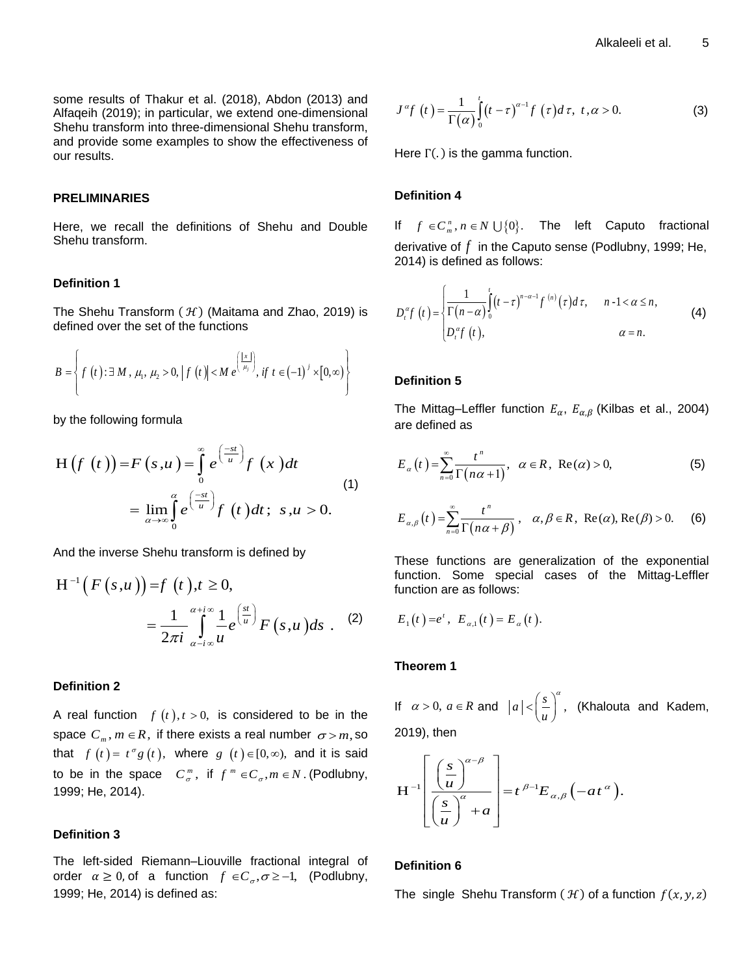some results of Thakur et al. (2018), Abdon (2013) and Alfaqeih (2019); in particular, we extend one-dimensional Shehu transform into three-dimensional Shehu transform, and provide some examples to show the effectiveness of our results.

#### **PRELIMINARIES**

Here, we recall the definitions of Shehu and Double Shehu transform.

#### **Definition 1**

The Shehu Transform  $(H)$  (Maitama and Zhao, 2019) is defined over the set of the functions

$$
B = \left\{ f(t) : \exists M, \mu_1, \mu_2 > 0, \left| f(t) \right| < M e^{\left(\frac{|x|}{\mu_j}\right)}, \text{ if } t \in (-1)^j \times [0, \infty) \right\}
$$

by the following formula

$$
H(f(t)) = F(s,u) = \int_{0}^{\infty} e^{\left(\frac{-st}{u}\right)} f(x) dt
$$
  
= 
$$
\lim_{\alpha \to \infty} \int_{0}^{\alpha} e^{\left(\frac{-st}{u}\right)} f(t) dt; \ s, u > 0.
$$
 (1)

And the inverse Shehu transform is defined by

$$
H^{-1}(F(s,u)) = f(t), t \ge 0,
$$
  
= 
$$
\frac{1}{2\pi i} \int_{\alpha - i\infty}^{\alpha + i\infty} \frac{1}{u} e^{\left(\frac{st}{u}\right)} F(s,u) ds
$$
 (2)

#### **Definition 2**

A real function  $f(t)$ ,  $t > 0$ , is considered to be in the space  $C_m$ ,  $m \in R$ , if there exists a real number  $\sigma > m$ , so that  $f(t) = t^{\sigma} g(t)$ , where  $g(t) \in [0, \infty)$ , and it is said to be in the space  $C_{\sigma}^{m}$ , if  $f^{m} \in C_{\sigma}$ ,  $m \in N$ . (Podlubny, 1999; He, 2014).

## **Definition 3**

The left-sided Riemann–Liouville fractional integral of order  $\alpha \geq 0$ , of a function  $f \in C_{\sigma}, \sigma \geq -1$ , (Podlubny, 1999; He, 2014) is defined as:

$$
J^{\alpha}f(t) = \frac{1}{\Gamma(\alpha)} \int_{0}^{t} (t-\tau)^{\alpha-1} f(\tau) d\tau, \ t, \alpha > 0.
$$
 (3)

Here  $\Gamma(.)$  is the gamma function.

## **Definition 4**

If  $f \in C_m^n$ ,  $n \in N \cup \{0\}$ . The left Caputo fractional derivative of *f* in the Caputo sense (Podlubny, 1999; He, 2014) is defined as follows:

$$
D_t^{\alpha} f(t) = \begin{cases} \frac{1}{\Gamma(n-\alpha)} \int_0^t (t-\tau)^{n-\alpha-1} f^{(n)}(\tau) d\tau, & n-1 < \alpha \le n, \\ D_t^{\alpha} f(t), & \alpha = n. \end{cases}
$$
(4)

#### **Definition 5**

The Mittag–Leffler function  $E_{\alpha}$ ,  $E_{\alpha,\beta}$  (Kilbas et al., 2004) are defined as

$$
E_{\alpha}(t) = \sum_{n=0}^{\infty} \frac{t^n}{\Gamma(n\alpha + 1)}, \quad \alpha \in R, \ \text{Re}(\alpha) > 0,
$$
 (5)

$$
E_{\alpha,\beta}(t) = \sum_{n=0}^{\infty} \frac{t^n}{\Gamma(n\alpha + \beta)}, \quad \alpha, \beta \in R, \text{ Re}(\alpha), \text{Re}(\beta) > 0.
$$
 (6)

These functions are generalization of the exponential function. Some special cases of the Mittag-Leffler function are as follows:

$$
E_1(t) = e^t
$$
,  $E_{\alpha,1}(t) = E_{\alpha}(t)$ .

#### **Theorem 1**

If  $\alpha > 0$ ,  $a \in R$  and  $|a| < \left(\frac{s}{u}\right)^a$ ,  $\lt\left(\frac{s}{u}\right)^a$ , (Khalouta and Kadem, 2019), then

$$
H^{-1}\left[\frac{\left(\frac{s}{u}\right)^{\alpha-\beta}}{\left(\frac{s}{u}\right)^{\alpha}+a}\right] = t^{\beta-1}E_{\alpha,\beta}\left(-at^{\alpha}\right).
$$

#### **Definition 6**

The single Shehu Transform  $(H)$  of a function  $f(x, y, z)$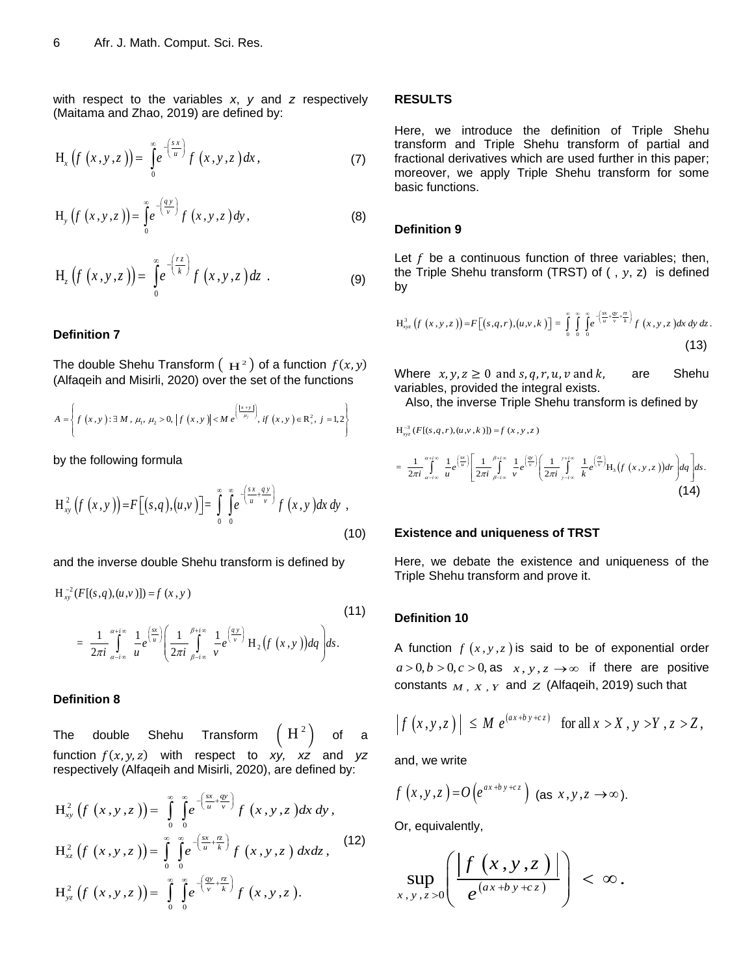with respect to the variables *x*, *y* and *z* respectively (Maitama and Zhao, 2019) are defined by:

$$
H_x(f(x,y,z)) = \int_0^\infty e^{-\left(\frac{s x}{u}\right)} f(x,y,z) dx, \qquad (7)
$$

$$
H_{y}\left(f\left(x,y,z\right)\right)=\int_{0}^{\infty}e^{-\left(\frac{qy}{v}\right)}f\left(x,y,z\right)dy,\tag{8}
$$

$$
H_z(f(x,y,z)) = \int_0^\infty e^{-\left(\frac{rz}{k}\right)} f(x,y,z) dz . \tag{9}
$$

#### **Definition 7**

The double Shehu Transform  $($   $\mathbf{H}^{2}$   $)$  of a function  $f(x,y)$ 

(Alfaqeih and Misirli, 2020) over the set of the functions  

$$
A = \left\{ f(x, y) : \exists M, \mu_1, \mu_2 > 0, |f(x, y)| < Me^{(\frac{|x + y|}{\mu_j})}, if (x, y) \in R^2, j = 1, 2 \right\}
$$

by the following formula

$$
H_{xy}^{2}(f(x,y))=F[(s,q),(u,v)]=\int_{0}^{\infty}\int_{0}^{\infty}e^{-\left(\frac{s x+q y}{u+v}\right)}f(x,y)dx dy,
$$
\n(10)

and the inverse double Shehu transform is defined by

$$
H_{xy}^{-2}(F[(s,q),(u,v)]) = f(x,y)
$$
\n
$$
= \frac{1}{2\pi i} \int_{\alpha-i\infty}^{\alpha+i\infty} \frac{1}{u} e^{\left(\frac{sx}{u}\right)} \left(\frac{1}{2\pi i} \int_{\beta-i\infty}^{\beta+i\infty} \frac{1}{v} e^{\left(\frac{qy}{v}\right)} H_2(f(x,y)) dq\right) ds.
$$
\n(11)

#### **Definition 8**

The double Shehu Transform  $\mathbf{H}^2$ ) of a function  $f(x, y, z)$  with respect to *xy*, xz and yz

respectively (Alfaqeih and Misirli, 2020), are defined by:  
\n
$$
H_{xy}^{2}(f(x,y,z)) = \int_{0}^{\infty} \int_{0}^{\infty} e^{-\left(\frac{sx}{u} + \frac{gy}{v}\right)} f(x,y,z) dx dy,
$$
\n
$$
H_{xz}^{2}(f(x,y,z)) = \int_{0}^{\infty} \int_{0}^{\infty} e^{-\left(\frac{sx}{u} + \frac{rz}{k}\right)} f(x,y,z) dx dz,
$$
\n
$$
H_{yz}^{2}(f(x,y,z)) = \int_{0}^{\infty} \int_{0}^{\infty} e^{-\left(\frac{gy}{v} + \frac{rz}{k}\right)} f(x,y,z).
$$
\n(12)

#### **RESULTS**

Here, we introduce the definition of Triple Shehu transform and Triple Shehu transform of partial and fractional derivatives which are used further in this paper; moreover, we apply Triple Shehu transform for some basic functions.

#### **Definition 9**

3

Let  $f$  be a continuous function of three variables; then, the Triple Shehu transform (TRST) of  $($  ,  $y$ ,  $z)$  is defined by

$$
H_{xyz}^{3}\left(f\left(x,y,z\right)\right)=F\left[(s,q,r),(u,v,k)\right]=\int_{0}^{\infty}\int_{0}^{\infty}\int_{0}^{\left(\frac{sx}{u}+\frac{qv}{v}+\frac{rz}{k}\right)}f\left(x,y,z\right)dx\,dy\,dz.
$$
\n(13)

Where  $x, y, z \ge 0$  and  $s, q, r, u, v$  and  $k$ , are Shehu variables, provided the integral exists.

Also, the inverse Triple Shehu transform is defined by lso, the inverse Triple S<br>  $(F[(s,q,r), (u, v, k)]) = f(x, y, z)$ 

Also, the inverse Triple Shehu transform is defined by  
\n
$$
H_{xyz}^{-3} (F[(s,q,r),(u,v,k)]) = f(x,y,z)
$$
\n
$$
= \frac{1}{2\pi i} \int_{\alpha-i\infty}^{\alpha+i\infty} \frac{1}{u} e^{\left(\frac{\alpha}{u}\right)} \left[ \frac{1}{2\pi i} \int_{\beta-i\infty}^{\beta+i\infty} \frac{1}{v} e^{\left(\frac{\alpha}{v}\right)} \left( \frac{1}{2\pi i} \int_{\gamma-i\infty}^{\gamma+i\infty} \frac{1}{k} e^{\left(\frac{\beta}{v}\right)} H_3(f(x,y,z)) dr \right) dq \right] ds.
$$
\n(14)

#### **Existence and uniqueness of TRST**

Here, we debate the existence and uniqueness of the Triple Shehu transform and prove it.

#### **Definition 10**

A function  $f(x, y, z)$  is said to be of exponential order  $a > 0, b > 0, c > 0$ , as  $x, y, z \rightarrow \infty$  if there are positive constants  $_M$ ,  $_X$ ,  $_Y$  and  $Z$  (Alfaqeih, 2019) such that

$$
\left|f(x,y,z)\right| \leq M e^{(ax+by+cz)} \quad \text{for all } x > X, y > Y, z > Z,
$$

and, we write

$$
f(x,y,z)=O(e^{ax+by+cz})
$$
 (as  $x,y,z \to \infty$ ).

Or, equivalently,

$$
\sup_{x,y,z>0}\left(\frac{\left|f\left(x,y,z\right)\right|}{e^{(ax+by+cz)}}\right)<\infty.
$$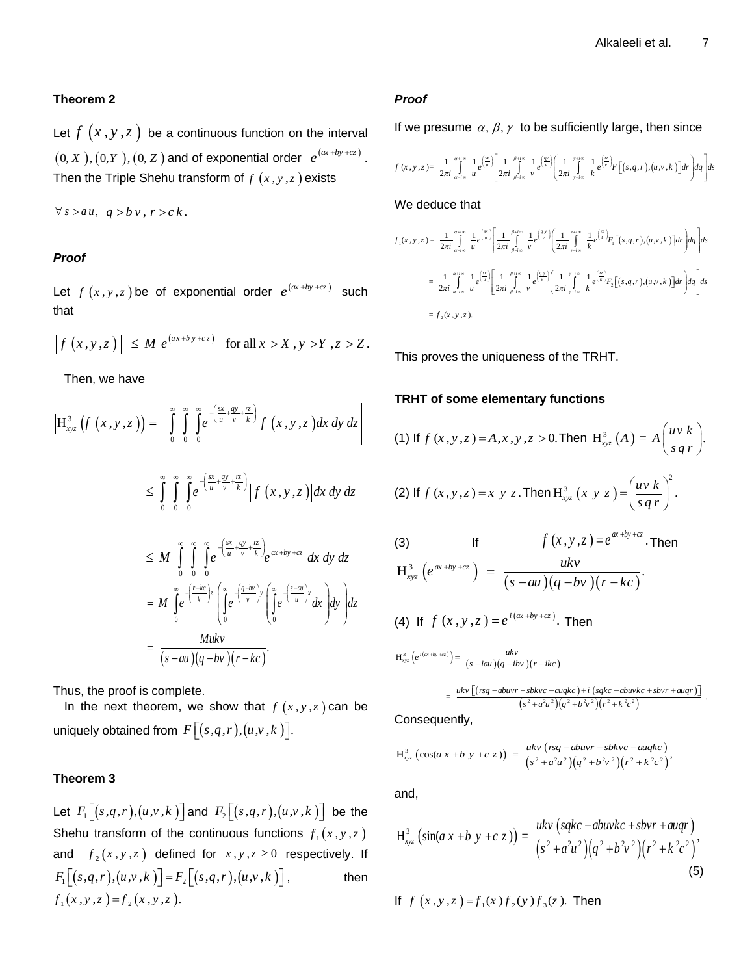## **Theorem 2**

Let  $f(x, y, z)$  be a continuous function on the interval  $(0, X), (0, Y), (0, Z)$  and of exponential order  $e^{(\alpha + by + cz)}$ . Then the Triple Shehu transform of  $f(x, y, z)$  exists

 $\forall s > a u, q > b v, r > c k$ .

## *Proof*

Let  $f(x, y, z)$  be of exponential order  $e^{(\alpha + by + cz)}$  such that

$$
\left|f(x,y,z)\right| \leq M \ e^{(ax+by+cz)} \quad \text{for all } x > X, y > Y, z > Z.
$$

Then, we have

$$
\begin{aligned}\n\left| \mathbf{H}_{xyz}^{3}\left(f\left(x,y,z\right)\right) \right| &= \left| \int_{0}^{\infty} \int_{0}^{\infty} \int_{0}^{\infty} e^{-\left(\frac{sx}{u} + \frac{gy}{v} + \frac{rz}{k}\right)} f\left(x,y,z\right) dx \, dy \, dz \right| \\
&\leq \int_{0}^{\infty} \int_{0}^{\infty} \int_{0}^{\infty} e^{-\left(\frac{sx}{u} + \frac{gy}{v} + \frac{rz}{k}\right)} \left| f\left(x,y,z\right) \right| dx \, dy \, dz \\
&\leq M \int_{0}^{\infty} \int_{0}^{\infty} \int_{0}^{\infty} e^{-\left(\frac{sx}{u} + \frac{gy}{v} + \frac{rz}{k}\right)} e^{\alpha x + by + cz} \, dx \, dy \, dz \\
&= M \int_{0}^{\infty} e^{-\left(\frac{r - kc}{k}\right)z} \left( \int_{0}^{\infty} e^{-\left(\frac{q - bv}{v}\right)y} \left( \int_{0}^{\infty} e^{-\left(\frac{s - au}{u}\right)x} dx \right) dy \right) dz\n\end{aligned}
$$

$$
= M \int_{0}^{\infty} e^{-\left(\frac{r-kc}{k}\right)z} \left(\int_{0}^{\infty} e^{-\left(\frac{q-bv}{v}\right)y} \left(\int_{0}^{\infty} e^{-\left(\frac{s-au}{u}\right)x} dx\right) dy\right) dz
$$

$$
= \frac{Mukv}{(s-au)(q-bv)(r-kc)}.
$$

Thus, the proof is complete.

In the next theorem, we show that  $f(x, y, z)$  can be uniquely obtained from  $F\big[\big(s,q,r\big), \!(u,\!v\, ,\!k\,)\big].$ 

## **Theorem 3**

Let  $F_1\left[(s,q,r),(u,v,k)\right]$  and  $F_2\left[(s,q,r),(u,v,k)\right]$  be the Shehu transform of the continuous functions  $f_1(x,y,z)$ and  $f_2(x, y, z)$  defined for  $x, y, z \ge 0$  respectively. If  $F_1[(s,q,r),(u,v,k)] = F_2[(s,q,r),(u,v,k)]$ , then  $f_1(x, y, z) = f_2(x, y, z)$ .

### *Proof*

If we pressure 
$$
\alpha
$$
,  $\beta$ ,  $\gamma$  to be sufficiently large, then since  
\n
$$
f(x, y, z) = \frac{1}{2\pi i} \int_{a-i\infty}^{a+i\infty} \frac{1}{u} e^{\left(\frac{\alpha}{u}\right)} \left[ \frac{1}{2\pi i} \int_{\rho-i\infty}^{\rho+i\infty} \frac{1}{v} e^{\left(\frac{\rho}{v}\right)} \left( \frac{1}{2\pi i} \int_{\rho-i\infty}^{i+i\infty} \frac{1}{k} e^{\left(\frac{\rho}{v}\right)} F\left[(s, q, r), (u, v, k)\right] dr \right] ds
$$

We deduce that

We deduce that  
\n
$$
f_1(x, y, z) = \frac{1}{2\pi i} \int_{a-i\infty}^{a+i\infty} \frac{1}{u} e^{\frac{x}{u}} \left[ \frac{1}{2\pi i} \int_{\beta-i\infty}^{\beta+i\infty} \frac{1}{v} e^{\frac{(xy)}{(v)}} \left( \frac{1}{2\pi i} \int_{\gamma-i\infty}^{\gamma+i\infty} \frac{1}{k} e^{\frac{(x}{k})} F_1[(s, q, r), (u, v, k)] dr \right) dq \right] ds
$$
\n
$$
= \frac{1}{2\pi i} \int_{a-i\infty}^{a+i\infty} \frac{1}{u} e^{\frac{(x}{u})} \left[ \frac{1}{2\pi i} \int_{\beta-i\infty}^{\beta+i\infty} \frac{1}{v} e^{\frac{(xy)}{(v)}} \left( \frac{1}{2\pi i} \int_{\gamma-i\infty}^{\gamma+i\infty} \frac{1}{k} e^{\frac{(\pi}{k})} F_2[(s, q, r), (u, v, k)] dr \right) dq \right] ds
$$
\n
$$
= f_2(x, y, z).
$$

This proves the uniqueness of the TRHT.

## **TRHT of some elementary functions**

(1) If 
$$
f(x, y, z) = A, x, y, z > 0
$$
. Then  $H_{xyz}^3(A) = A\left(\frac{uv k}{s q r}\right)$ .  
\n(2) If  $f(x, y, z) = x y z$ . Then  $H_{xyz}^3(x y z) = \left(\frac{uv k}{s q r}\right)^2$ .

(3) If 
$$
f(x, y, z) = e^{\alpha x + by + cz}
$$
. Then  
\n
$$
H_{xyz}^3(e^{\alpha x + by + cz}) = \frac{ukv}{(s - au)(q - bv)(r - kc)}.
$$

(4) If 
$$
f(x, y, z) = e^{i(\alpha + by + cz)}
$$
. Then

(4) If 
$$
f(x, y, z) = e^x
$$
. Then  

$$
H_{xyz}^{3}(e^{i(\alpha + \beta y + cz)}) = \frac{ukv}{(s - i\alpha u)(q - ibv)(r - ikc)}
$$

$$
H_{xyz}^{3}\left(e^{i(\alpha x+by+\epsilon_{z})}\right)=\frac{ukv}{(s-i\alpha u)(q-i\delta v)(r-i\kappa c)}
$$
  
=
$$
\frac{ukv\left[ (rsq-abuvr-sbkvc-auqkc)+i\left(sqkc-abuvkc+s bvr+auqr\right)\right]}{(s^{2}+a^{2}u^{2})(q^{2}+b^{2}v^{2})(r^{2}+k^{2}c^{2})}.
$$

Consequently,

Consequently,  
\n
$$
H_{xyz}^{3}(\cos(a x + b y + c z)) = \frac{ukv (rsq - abuvr - sbkvc - auqkc)}{(s^{2} + a^{2}u^{2})(q^{2} + b^{2}v^{2})(r^{2} + k^{2}c^{2})},
$$

and,

$$
H_{xyz}^{3} \left( \sin(a x + b y + c z) \right) = \frac{ukv \left( sqkc - abuvkc + sbvr + augr \right)}{\left( s^{2} + a^{2}u^{2} \right) \left( q^{2} + b^{2}v^{2} \right) \left( r^{2} + k^{2}c^{2} \right)},
$$
\n(5)

If 
$$
f(x, y, z) = f_1(x) f_2(y) f_3(z)
$$
. Then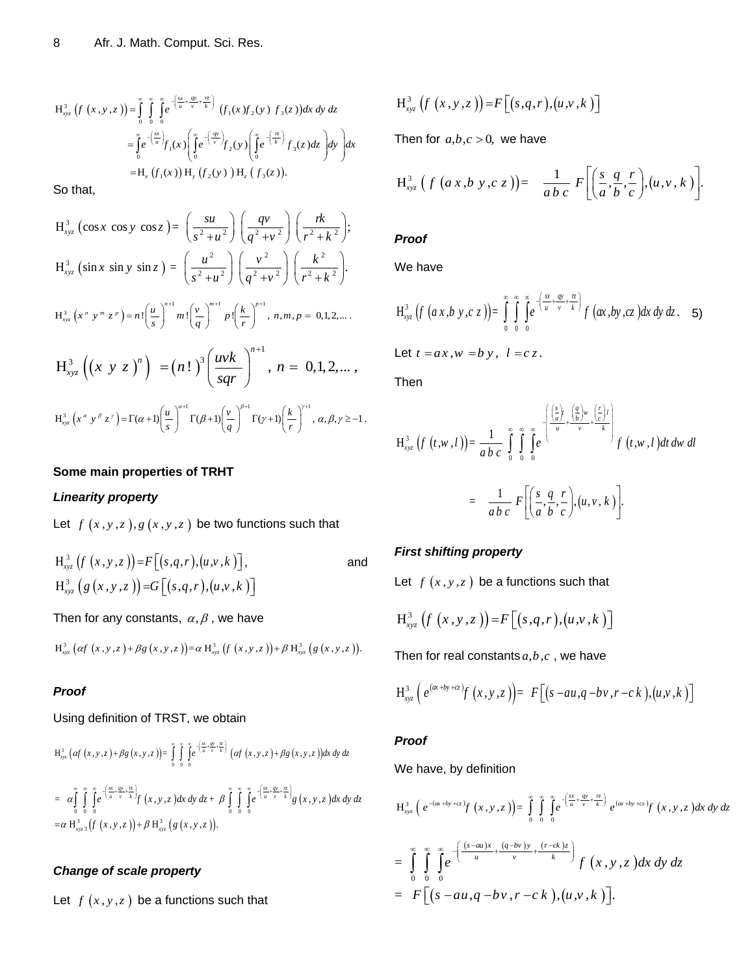$$
H_{xyz}^{3}\left(f\left(x,y,z\right)\right)=\int_{0}^{\infty}\int_{0}^{\infty}e^{-\left(\frac{sx}{u}+\frac{gy}{v}+\frac{rz}{k}\right)}\left(f_{1}(x)f_{2}(y)\ f_{3}(z)\right)dx\,dy\,dz
$$

$$
=\int_{0}^{\infty}e^{-\left(\frac{sx}{u}\right)}f_{1}(x)\left(\int_{0}^{\infty}e^{-\left(\frac{ay}{v}\right)}f_{2}(y)\left(\int_{0}^{\infty}e^{-\left(\frac{rz}{k}\right)}f_{3}(z)\,dz\right)dy\right)dx
$$

$$
=H_{x}\left(f_{1}(x)\right)H_{y}\left(f_{2}(y)\right)H_{z}\left(f_{3}(z)\right).
$$

So that,

H<sub>00</sub><sup>2</sup> 
$$
(f(x,y,z)) = \int_{0}^{\pi} \int_{0}^{\pi} \int_{0}^{\pi} \int_{0}^{\pi} f(x) f(x) f_3(x) f_5(x) dx dy dx
$$
  
\n
$$
= \int_{0}^{\pi} e^{\frac{2\pi}{3}} f_1(x) \left[ \int_{0}^{\pi} e^{\frac{2\pi}{3}} f_2(x) \int_{0}^{\pi} f_3(x) dx \right] dy dx
$$
\nThen for *a,b,c* > 0, we have  
\n
$$
= H_1(f_1(x)) H_2(f_2(x)) H_3(f_3(x))
$$
\n
$$
= \int_{0}^{\pi} \int_{0}^{\pi} f_4(x) \int_{0}^{\pi} f_5(x) dx
$$
\n
$$
= H_2(f_1(x)) H_3(f_2(x)) H_4(f_3(x))
$$
\n
$$
= H_3(g_1(x) \sin y \sin z) = \int_{0}^{\pi} \int_{0}^{\pi} \frac{1}{2} \int_{0}^{\pi} \frac{1}{2} \int_{0}^{\pi} \frac{1}{2} \int_{0}^{\pi} \frac{1}{2} \int_{0}^{\pi} \frac{1}{2} \int_{0}^{\pi} \frac{1}{2} \int_{0}^{\pi} \frac{1}{2} \int_{0}^{\pi} \frac{1}{2} \int_{0}^{\pi} \frac{1}{2} \int_{0}^{\pi} \frac{1}{2} \int_{0}^{\pi} \frac{1}{2} \int_{0}^{\pi} f_1(x) f_2(x) dx dx
$$
\n
$$
= H_{00}^{1} \left( \int_{0}^{\pi} f(x) f_3(x) f_4(x) dx \right) = H_{01}^{1} \left( \int_{0}^{\pi} f(x) f_4(x) f_5(x) dx \right) = \int_{0}^{\pi} \int_{0}^{\pi} \int_{0}^{\pi} f(x) f_5(x) f_5(x) dx
$$
\n
$$
= H_{00}^{1} \left( \int_{0}^{\pi} f(x) f_5(x) f_5(x) f_5(x) dx \right) = H_{11}^{1} \left( \int_{0}^{\pi} f(x) f_5(x) f_5(x) f_5(x) f_5(x) f_5(x
$$

## **Some main properties of TRHT**

## *Linearity property*

Let  $f(x, y, z), g(x, y, z)$  be two functions such that

$$
H_{xyz}^{3}(f(x,y,z))=F[(s,q,r),(u,v,k)],
$$
  
\n
$$
H_{xyz}^{3}(g(x,y,z))=G[(s,q,r),(u,v,k)]
$$
 and

Then for any constants, 
$$
\alpha
$$
,  $\beta$ , we have  
\n
$$
H_{xyz}^3 (\alpha f(x, y, z) + \beta g(x, y, z)) = \alpha H_{xyz}^3 (f(x, y, z)) + \beta H_{xyz}^3 (g(x, y, z)).
$$

## *Proof*

## Using definition of TRST, we obtain

$$
H_{xyz}^{3}\left(\alpha f\left(x,y,z\right)+\beta g\left(x,y,z\right)\right)=\int_{0}^{\infty}\int_{0}^{\infty}\int_{0}^{\left(\frac{\alpha}{u}+\frac{\alpha}{v}+\frac{\alpha}{k}\right)}\left(\alpha f\left(x,y,z\right)+\beta g\left(x,y,z\right)\right)dx\,dy\,dz
$$
\n
$$
=\alpha\int_{0}^{\infty}\int_{0}^{\infty}\int_{0}^{\infty}e^{-\left(\frac{\alpha}{u}+\frac{\alpha y}{v}+\frac{\alpha}{k}\right)}f\left(x,y,z\right)dx\,dy\,dz+\beta\int_{0}^{\infty}\int_{0}^{\infty}\int_{0}^{\infty}e^{-\left(\frac{\alpha}{u}+\frac{\alpha y}{v}+\frac{\alpha}{k}\right)}g\left(x,y,z\right)dx\,dy\,dz
$$
\n
$$
=\alpha\,H_{xyz}^{3}\left(\int_{0}^{\infty}\left(x,y,z\right)\right)+\beta\,H_{xyz}^{3}\left(g\left(x,y,z\right)\right).
$$

## *Change of scale property*

Let  $f(x, y, z)$  be a functions such that

$$
H^3_{xyz}\left(f\left(x,y,z\right)\right)=F\left[\left(s,q,r\right),\left(u,v,k\right)\right]
$$

Then for  $a,b,c > 0$ , we have

$$
H_{xyz}^{3}\left(f\left(a x,b y,c z\right)\right)=\frac{1}{ab c}F\left[\left(\frac{s}{a},\frac{q}{b},\frac{r}{c}\right),(u,v,k)\right].
$$

## *Proof*

We have

$$
H_{xyz}^{3}\left(f\left(a x,b y,c z\right)\right)=\int\limits_{0}^{\infty}\int\limits_{0}^{\infty}\int\limits_{0}^{\infty}e^{-\left(\frac{sx}{u}+\frac{gy}{v}+\frac{rz}{k}\right)}f\left(ax,by,c z\right)dx\,dy\,dz. \quad 5
$$

Let  $t = ax$ ,  $w = b$   $y$ ,  $l = c z$ .

Then

$$
H_{xyz}^{3}\left(f\left(t,w,l\right)\right)=\frac{1}{ab\ c}\int_{0}^{\infty}\int_{0}^{\infty}\int_{0}^{\infty}e^{-\left(\frac{\left(\frac{s}{a}\right)_{w}}{u}+\frac{\left(\frac{q}{b}\right)_{w}}{v}+\frac{\left(\frac{r}{c}\right)_{l}}{k}\right)}f\left(t,w,l\right)dt\,dw\,dl
$$
\n
$$
=\frac{1}{ab\ c}\ F\left[\left(\frac{s}{a},\frac{q}{b},\frac{r}{c}\right),(u,v,k)\right].
$$

## *First shifting property*

Let  $f(x, y, z)$  be a functions such that

$$
H_{xyz}^3(f(x,y,z)) = F[(s,q,r),(u,v,k)]
$$

Then for real constants  $a,b,c$  , we have

$$
H_{xyz}^3\left(e^{(\alpha x + by + cz)}f(x, y, z)\right) = F\big[(s - au, q - bv, r - ck), (u, v, k)\big]
$$

## *Proof*

We have, by definition

$$
\begin{aligned}\n\mathbf{w} &= \text{Have, by definition} \\
\frac{d}{dx} \int_{\mathbb{R}^{3}} \int_{\mathbb{R}} e^{-(ax+by+cz)} f(x,y,z) \, ds \, dy \, dz \\
&= \int_{0}^{\infty} \int_{0}^{\infty} \int_{0}^{\infty} e^{-\left(\frac{(x-ay)x}{u} + \frac{(q-bv)y}{v}\right)} \, e^{(x+by+cz)} f(x,y,z) \, dx \, dy \, dz \\
&= \int_{0}^{\infty} \int_{0}^{\infty} e^{-\left(\frac{(x-ay)x}{u} + \frac{(q-bv)y}{v}\right)} f(x,y,z) \, dx \, dy \, dz \\
&= F\left[ (s-au, q-bv, r-ck), (u, v, k) \right].\n\end{aligned}
$$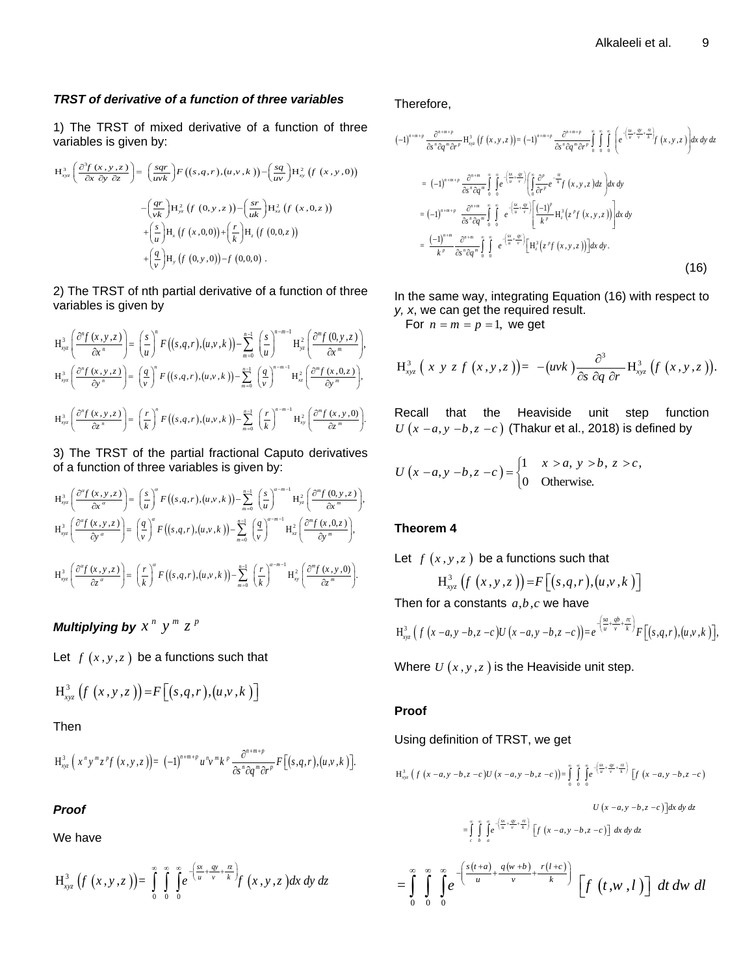## *TRST of derivative of a function of three variables*

variables is given by:<br>  $H_{xx}^3\left(\frac{\partial^3 f(x,y,z)}{\partial x \partial y}, \frac{\partial^2 f(x,y,z)}{\partial y}\right) = \left(\frac{sgr}{m^3}\right)$ 

1) The TRST of mixed derivative of a function of three  
variables is given by:  

$$
H_{xyz}^{3}\left(\frac{\partial^{3} f(x, y, z)}{\partial x \partial y \partial z}\right) = \left(\frac{sq}{uvk}\right)F\left((s, q, r), (u, y, k)\right) - \left(\frac{sq}{uv}\right)H_{xy}^{2}\left(f(x, y, 0)\right)
$$

$$
-\left(\frac{qr}{vk}\right)H_{yz}^{2}\left(f(0, y, z)\right) - \left(\frac{sr}{uk}\right)H_{xz}^{2}\left(f(x, 0, z)\right)
$$

$$
+\left(\frac{s}{u}\right)H_{x}\left(f(x, 0, 0)\right) + \left(\frac{r}{k}\right)H_{z}\left(f(0, 0, z)\right)
$$

$$
+\left(\frac{q}{v}\right)H_{y}\left(f(0, y, 0)\right) - f(0, 0, 0).
$$

2) The TRST of nth partial derivative of a function of three variables is given by

**Variables is given by**  
\n
$$
H_{xyz}^{3}\left(\frac{\partial^{n} f(x,y,z)}{\partial x^{n}}\right) = \left(\frac{s}{u}\right)^{n} F\left((s,q,r),(u,v,k)\right) - \sum_{m=0}^{n-1} \left(\frac{s}{u}\right)^{n-m-1} H_{yz}^{2}\left(\frac{\partial^{m} f(0,y,z)}{\partial x^{m}}\right),
$$
\n
$$
H_{xyz}^{3}\left(\frac{\partial^{n} f(x,y,z)}{\partial y^{n}}\right) = \left(\frac{q}{v}\right)^{n} F\left((s,q,r),(u,v,k)\right) - \sum_{m=0}^{n-1} \left(\frac{q}{v}\right)^{n-m-1} H_{xz}^{2}\left(\frac{\partial^{m} f(x,y,z)}{\partial y^{m}}\right),
$$
\n
$$
H_{xyz}^{3}\left(\frac{\partial^{n} f(x,y,z)}{\partial z^{n}}\right) = \left(\frac{r}{k}\right)^{n} F\left((s,q,r),(u,v,k)\right) - \sum_{m=0}^{n-1} \left(\frac{r}{k}\right)^{n-m-1} H_{xy}^{2}\left(\frac{\partial^{m} f(x,y,0)}{\partial z^{m}}\right).
$$
\nR

3) The TRST of the partial fractional Caputo derivatives

of a function of three variables is given by:  
\n
$$
H_{xyz}^{3}\left(\frac{\partial^{\alpha} f(x,y,z)}{\partial x^{\alpha}}\right) = \left(\frac{s}{u}\right)^{\alpha} F\left((s,q,r),(u,v,k)\right) - \sum_{m=0}^{n-1} \left(\frac{s}{u}\right)^{\alpha-m-1} H_{yz}^{2}\left(\frac{\partial^{m} f(0,y,z)}{\partial x^{m}}\right),
$$
\n
$$
H_{xyz}^{3}\left(\frac{\partial^{\alpha} f(x,y,z)}{\partial y^{\alpha}}\right) = \left(\frac{q}{v}\right)^{\alpha} F\left((s,q,r),(u,v,k)\right) - \sum_{m=0}^{n-1} \left(\frac{q}{v}\right)^{\alpha-m-1} H_{xz}^{2}\left(\frac{\partial^{m} f(x,0,z)}{\partial y^{m}}\right),
$$
\n
$$
H_{xyz}^{3}\left(\frac{\partial^{\alpha} f(x,y,z)}{\partial z^{\alpha}}\right) = \left(\frac{r}{k}\right)^{\alpha} F\left((s,q,r),(u,v,k)\right) - \sum_{m=0}^{n-1} \left(\frac{r}{k}\right)^{\alpha-m-1} H_{xy}^{2}\left(\frac{\partial^{m} f(x,y,0)}{\partial z^{m}}\right).
$$
\nLet

*Multiplying by*  $x^n$   $y^m$   $z^p$ 

Let  $f(x, y, z)$  be a functions such that

$$
H^3_{xyz}\left(f\left(x,y,z\right)\right)=F\left[(s,q,r),(u,v,k)\right]
$$

Then

$$
H_{xyz}^{3}\left(x^{n}y^{m}z^{p}f\left(x,y,z\right)\right)=(-1)^{n+m+p}u^{n}y^{m}k^{p}\frac{\partial^{n+m+p}}{\partial s^{n}\partial q^{m}\partial r^{p}}F\left[(s,q,r),(u,v,k)\right].
$$

## *Proof*

We have

$$
H_{xyz}^{3}\left(f\left(x,y,z\right)\right)=\int\limits_{0}^{\infty}\int\limits_{0}^{\infty}\int\limits_{0}^{\infty}e^{-\left(\frac{sx}{u}+\frac{qy}{v}+\frac{rz}{k}\right)}f\left(x,y,z\right)dx\,dy\,dz
$$

Therefore,

Therefore,  
\n
$$
(-1)^{n+m+p} \frac{\partial^{n+m+p}}{\partial s^n \partial q^m \partial r^p} H_{xyz}^3 (f(x,y,z)) = (-1)^{n+m+p} \frac{\partial^{n+m+p}}{\partial s^n \partial q^m \partial r^p} \int_{0}^{\infty} \int_{0}^{\infty} \int_{0}^{\left(\frac{cx}{u} + \frac{gy}{v} + \frac{z}{k}\right)} f(x,y,z) dx dy dz
$$
\n
$$
= (-1)^{n+m+p} \frac{\partial^{n+m}}{\partial s^n \partial q^m} \int_{0}^{\infty} \int_{0}^{\infty} e^{-\left(\frac{cx}{u} + \frac{gy}{v}\right)} \left(\int_{0}^{\infty} \frac{\partial f'}{\partial r^p} e^{-\frac{r}{k}} f(x,y,z) dz\right) dx dy
$$
\n
$$
= (-1)^{n+m+p} \frac{\partial^{n+m}}{\partial s^n \partial q^m} \int_{0}^{\infty} \int_{0}^{\infty} e^{-\left(\frac{cx}{u} + \frac{gy}{v}\right)} \left[\frac{(-1)^p}{k^p} H_z^3 (z^p f(x,y,z))\right] dx dy
$$
\n
$$
= \frac{(-1)^{n+m}}{k^p} \frac{\partial^{n+m}}{\partial s^n \partial q^m} \int_{0}^{\infty} e^{-\left(\frac{cx}{u} + \frac{gy}{v}\right)} \left[H_z^3 (z^p f(x,y,z))\right] dx dy.
$$
\n(16)

In the same way, integrating Equation (16) with respect to *y, x*, we can get the required result.

For  $n = m = p = 1$ , we get

$$
H_{xyz}^{3}(x \ y \ z \ f\ (x,y,z)) = -(wk)\frac{\partial^{3}}{\partial s \ \partial q \ \partial r}H_{xyz}^{3}(f\ (x,y,z)).
$$

Recall that the Heaviside unit step function  $U(x-a, y-b, z-c)$  (Thakur et al., 2018) is defined by

$$
U(x-a, y-b, z-c) = \begin{cases} 1 & x > a, y > b, z > c, \\ 0 & \text{Otherwise.} \end{cases}
$$

## **Theorem 4**

Let 
$$
f(x, y, z)
$$
 be a functions such that  
\n
$$
H_{xyz}^{3}(f(x, y, z)) = F[(s, q, r), (u, v, k)]
$$

Then for a constants *a*,*b*,*c* we have  
\n
$$
H_{xyz}^{3} (f (x-a, y-b, z-c)U (x-a, y-b, z-c)) = e^{-\left(\frac{sa}{u} + \frac{qb}{v} + \frac{rc}{k}\right)} F[(s,q,r), (u, v, k)],
$$

Where  $U(x, y, z)$  is the Heaviside unit step.

## **Proof**

Using definition of TRST, we get

Using definition of TKS1, we get  
\n
$$
H_{xyz}^{3}(f(x-a,y-b,z-c)U(x-a,y-b,z-c)) = \int_{0}^{\pi} \int_{0}^{\pi} \int_{0}^{c-\frac{(x_{x},w_{y},z_{x})}{w+y_{x}}} [f(x-a,y-b,z-c)] dx dy dz
$$
\n
$$
= \int_{c}^{\pi} \int_{b}^{\pi} \int_{a}^{c-\frac{(x_{x},w_{y},z_{x})}{w+y_{x}}} [f(x-a,y-b,z-c)] dx dy dz
$$
\n
$$
= \int_{0}^{\infty} \int_{0}^{\infty} e^{-\frac{(s(t+a))}{u} + \frac{q(w+b)}{v} + \frac{r(t+c)}{k}} [f(t,w,l)] dt dw dl
$$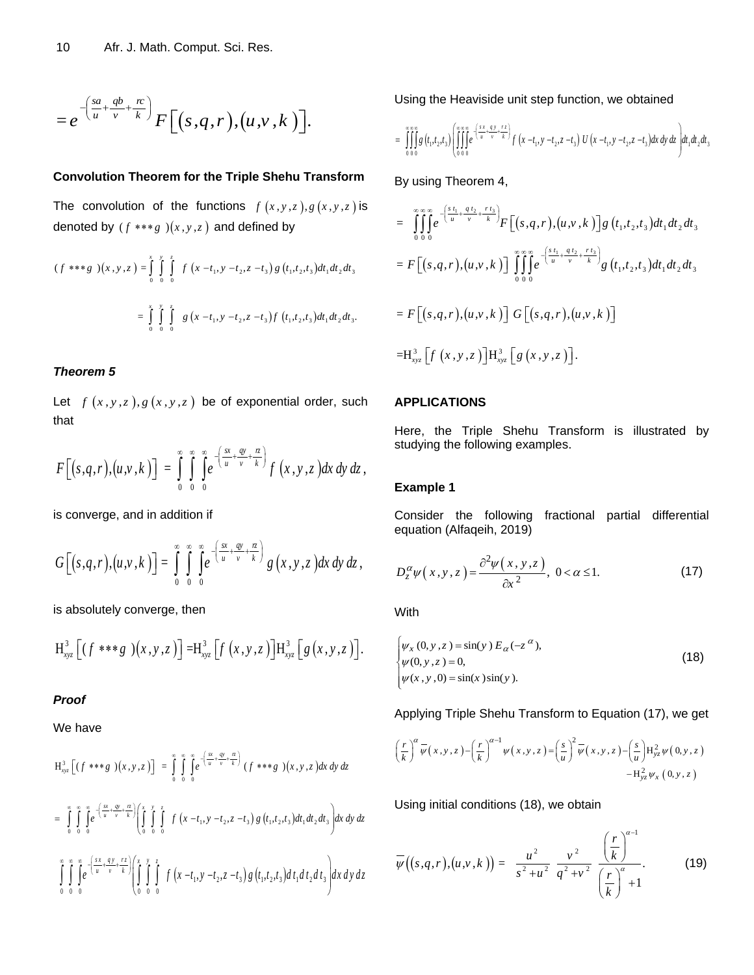$$
=e^{-\left(\frac{sa}{u}+\frac{qb}{v}+\frac{rc}{k}\right)}F\left[(s,q,r),(u,v,k)\right].
$$

## **Convolution Theorem for the Triple Shehu Transform**

The convolution of the functions  $f(x, y, z), g(x, y, z)$  is

denoted by 
$$
(f * * * g)(x, y, z)
$$
 and defined by  
\n
$$
(f * * * g)(x, y, z) = \int_{0}^{x} \int_{0}^{y} \int_{0}^{z} f(x - t_1, y - t_2, z - t_3) g(t_1, t_2, t_3) dt_1 dt_2 dt_3
$$
\n
$$
= \int_{0}^{x} \int_{0}^{y} \int_{0}^{z} g(x - t_1, y - t_2, z - t_3) f(t_1, t_2, t_3) dt_1 dt_2 dt_3.
$$

## *Theorem 5*

Let  $f(x, y, z), g(x, y, z)$  be of exponential order, such that

$$
F\big[(s,q,r),(u,v,k)\big]=\int\limits_{0}^{\infty}\int\limits_{0}^{\infty}\int\limits_{0}^{\infty}e^{-\left(\frac{sx}{u}+\frac{qv}{v}+\frac{rz}{k}\right)}f\left(x,y,z\right)dx\,dy\,dz\,,
$$

is converge, and in addition if

$$
G\left[(s,q,r),(u,v,k)\right]=\int\limits_{0}^{\infty}\int\limits_{0}^{\infty}\int\limits_{0}^{\infty}e^{-\left(\frac{sx}{u}+\frac{qv}{v}+\frac{rz}{k}\right)}g\left(x,y,z\right)dx\,dy\,dz\,,
$$

is absolutely converge, then

$$
H_{xyz}^{3}\left[(f^{***}g)(x,y,z)\right]=H_{xyz}^{3}\left[f(x,y,z)\right]H_{xyz}^{3}\left[g(x,y,z)\right].
$$

## *Proof*

We have

$$
H_{xyz}^{3} \left[ (f***g)(x,y,z) \right] = \int_{0}^{\infty} \int_{0}^{\infty} \int_{0}^{\infty} e^{-\left(\frac{sx}{u} + \frac{gy}{v} + \frac{z}{k}\right)} (f***g)(x,y,z) dx dy dz
$$
  
\n
$$
= \int_{0}^{\infty} \int_{0}^{\infty} \int_{0}^{\infty} e^{-\left(\frac{sx}{u} + \frac{gy}{v} + \frac{z}{k}\right)} \left( \int_{0}^{x} \int_{0}^{y} \int_{0}^{z} f(x-t_{1}, y-t_{2}, z-t_{3}) g(t_{1}, t_{2}, t_{3}) dt_{1} dt_{2} dt_{3} \right) dx dy dz
$$
  
\n
$$
\int_{0}^{\infty} \int_{0}^{\infty} \int_{0}^{\infty} e^{-\left(\frac{sx}{u} + \frac{qy}{v} + \frac{rz}{k}\right)} \left( \int_{0}^{x} \int_{0}^{y} \int_{0}^{z} f(x-t_{1}, y-t_{2}, z-t_{3}) g(t_{1}, t_{2}, t_{3}) dt_{1} dt_{2} dt_{3} \right) dx dy dz
$$

Using the Heaviside unit step function, we obtained  
\n
$$
= \iiint\limits_{0}^{\infty} g(t_1,t_2,t_3) \left( \iiint\limits_{0}^{\infty} e^{-\left(\frac{x_1}{u} + \frac{g_1}{v} - \frac{t_2}{k}\right)} f(x - t_1, y - t_2, z - t_3) U(x - t_1, y - t_2, z - t_3) dx dy dz \right) dt_1 dt_2 dt_3
$$

By using Theorem 4,

$$
= \int_{0}^{\infty} \int_{0}^{\infty} e^{-\left(\frac{s_{t_1}}{u} + \frac{q_{t_2}}{v} + \frac{r_{t_3}}{k}\right)} F\left[(s, q, r), (u, v, k)\right] g\left(t_1, t_2, t_3\right) dt_1 dt_2 dt_3
$$
  
\n
$$
= F\left[(s, q, r), (u, v, k)\right] \int_{0}^{\infty} \int_{0}^{\infty} e^{-\left(\frac{s_{t_1}}{u} + \frac{q_{t_2}}{v} + \frac{r_{t_3}}{k}\right)} g\left(t_1, t_2, t_3\right) dt_1 dt_2 dt_3
$$
  
\n
$$
= F\left[(s, q, r), (u, v, k)\right] G\left[(s, q, r), (u, v, k)\right]
$$
  
\n
$$
= H_{xyz}^3 \left[f\left(x, y, z\right)\right] H_{xyz}^3 \left[g\left(x, y, z\right)\right].
$$

#### **APPLICATIONS**

Here, the Triple Shehu Transform is illustrated by studying the following examples.

## **Example 1**

Consider the following fractional partial differential equation (Alfaqeih, 2019)

$$
D_z^{\alpha} \psi(x, y, z) = \frac{\partial^2 \psi(x, y, z)}{\partial x^2}, \ 0 < \alpha \le 1.
$$
 (17)

**With** 

$$
\begin{cases}\n\psi_x(0, y, z) = \sin(y) E_\alpha(-z^\alpha), \\
\psi(0, y, z) = 0, \\
\psi(x, y, 0) = \sin(x) \sin(y).\n\end{cases}
$$
\n(18)

Applying Triple Shehu Transform to Equation (17), we get  
\n
$$
\left(\frac{r}{k}\right)^{\alpha} \overline{\psi}(x,y,z) - \left(\frac{r}{k}\right)^{\alpha-1} \psi(x,y,z) = \left(\frac{s}{u}\right)^{2} \overline{\psi}(x,y,z) - \left(\frac{s}{u}\right) H_{yz}^{2} \psi(0,y,z)
$$
\n
$$
-H_{yz}^{2} \psi_{x}(0,y,z)
$$

Using initial conditions (18), we obtain

 $\overline{a}$ 

$$
\overline{\psi}\big((s,q,r),(u,v,k)\big)=\frac{u^2}{s^2+u^2}\frac{v^2}{q^2+v^2}\frac{\left(\frac{r}{k}\right)^{\alpha-1}}{\left(\frac{r}{k}\right)^{\alpha}+1}.
$$
 (19)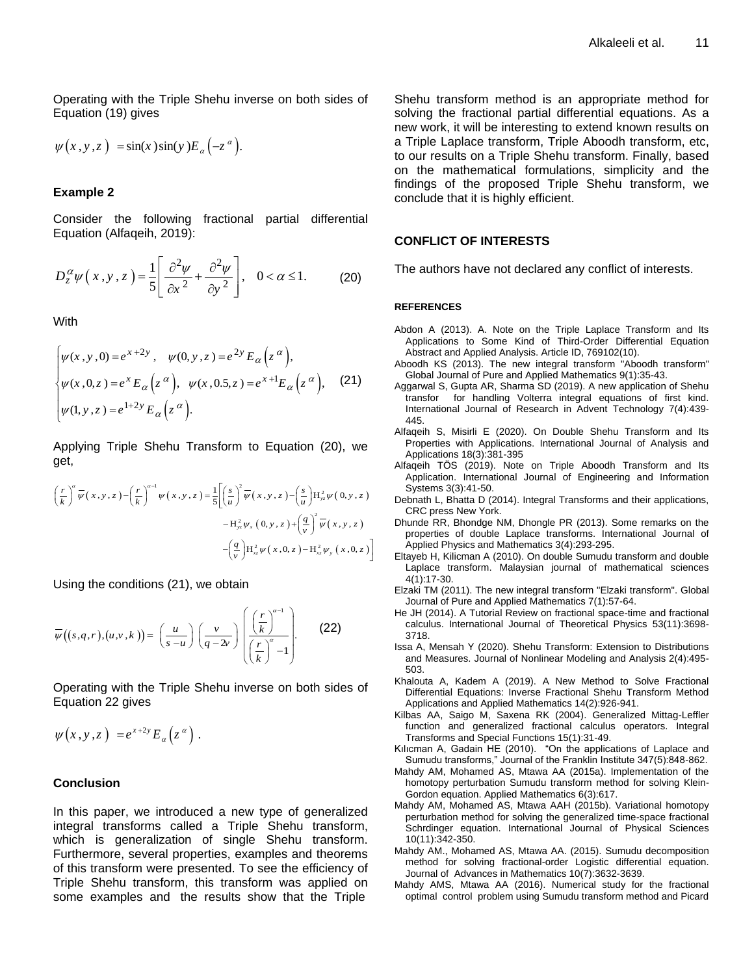Operating with the Triple Shehu inverse on both sides of Equation (19) gives

$$
\psi(x, y, z) = \sin(x) \sin(y) E_{\alpha}(-z^{\alpha}).
$$

#### **Example 2**

Consider the following fractional partial differential Equation (Alfaqeih, 2019):

$$
D_z^{\alpha}\psi(x,y,z) = \frac{1}{5} \left[ \frac{\partial^2 \psi}{\partial x^2} + \frac{\partial^2 \psi}{\partial y^2} \right], \quad 0 < \alpha \le 1.
$$
 (20)

**With** 

$$
\begin{cases}\n\psi(x, y, 0) = e^{x+2y}, & \psi(0, y, z) = e^{2y} E_{\alpha}(z^{\alpha}), \\
\psi(x, 0, z) = e^{x} E_{\alpha}(z^{\alpha}), & \psi(x, 0.5, z) = e^{x+1} E_{\alpha}(z^{\alpha}), \\
\psi(1, y, z) = e^{1+2y} E_{\alpha}(z^{\alpha}).\n\end{cases}
$$
\n(21)

Applying Triple Shehu Transform to Equation (20), we get,

get,  
\n
$$
\left(\frac{r}{k}\right)^{\alpha} \overline{\psi}(x, y, z) - \left(\frac{r}{k}\right)^{\alpha-1} \psi(x, y, z) = \frac{1}{5} \left[ \left(\frac{s}{u}\right)^2 \overline{\psi}(x, y, z) - \left(\frac{s}{u}\right) H_{yz}^2 \psi(0, y, z) - H_{yz}^2 \psi_x(0, y, z) + \left(\frac{q}{v}\right)^2 \overline{\psi}(x, y, z) - \left(\frac{q}{v}\right) H_{xz}^2 \psi(x, 0, z) - H_{xz}^2 \psi_y(x, 0, z) \right]
$$

Using the conditions (21), we obtain

$$
\overline{\psi}((s,q,r),(u,v,k)) = \left(\frac{u}{s-u}\right) \left(\frac{v}{q-2v}\right) \left(\frac{\left(\frac{r}{k}\right)^{\alpha-1}}{\left(\frac{r}{k}\right)^{\alpha}-1}\right).
$$
 (22)

Operating with the Triple Shehu inverse on both sides of Equation 22 gives

$$
\psi(x,y,z) = e^{x+2y} E_{\alpha}(z^{\alpha}).
$$

#### **Conclusion**

In this paper, we introduced a new type of generalized integral transforms called a Triple Shehu transform, which is generalization of single Shehu transform. Furthermore, several properties, examples and theorems of this transform were presented. To see the efficiency of Triple Shehu transform, this transform was applied on some examples and the results show that the Triple

Shehu transform method is an appropriate method for solving the fractional partial differential equations. As a new work, it will be interesting to extend known results on a Triple Laplace transform, Triple Aboodh transform, etc, to our results on a Triple Shehu transform. Finally, based on the mathematical formulations, simplicity and the findings of the proposed Triple Shehu transform, we conclude that it is highly efficient.

#### **CONFLICT OF INTERESTS**

The authors have not declared any conflict of interests.

#### **REFERENCES**

- Abdon A (2013). A. Note on the Triple Laplace Transform and Its Applications to Some Kind of Third-Order Differential Equation Abstract and Applied Analysis. Article ID, 769102(10).
- Aboodh KS (2013). The new integral transform "Aboodh transform" Global Journal of Pure and Applied Mathematics 9(1):35-43.
- Aggarwal S, Gupta AR, Sharma SD (2019). A new application of Shehu transfor for handling Volterra integral equations of first kind. International Journal of Research in Advent Technology 7(4):439- 445.
- Alfaqeih S, Misirli E (2020). On Double Shehu Transform and Its Properties with Applications. International Journal of Analysis and Applications 18(3):381-395
- Alfaqeih TÖS (2019). Note on Triple Aboodh Transform and Its Application. International Journal of Engineering and Information Systems 3(3):41-50.
- Debnath L, Bhatta D (2014). Integral Transforms and their applications, CRC press New York.
- Dhunde RR, Bhondge NM, Dhongle PR (2013). Some remarks on the properties of double Laplace transforms. International Journal of Applied Physics and Mathematics 3(4):293-295.
- Eltayeb H, Kilicman A (2010). On double Sumudu transform and double Laplace transform. Malaysian journal of mathematical sciences 4(1):17-30.
- Elzaki TM (2011). The new integral transform "Elzaki transform". Global Journal of Pure and Applied Mathematics 7(1):57-64.
- He JH (2014). A Tutorial Review on fractional space-time and fractional calculus. International Journal of Theoretical Physics 53(11):3698- 3718.
- Issa A, Mensah Y (2020). Shehu Transform: Extension to Distributions and Measures. Journal of Nonlinear Modeling and Analysis 2(4):495- 503.
- Khalouta A, Kadem A (2019). A New Method to Solve Fractional Differential Equations: Inverse Fractional Shehu Transform Method Applications and Applied Mathematics 14(2):926-941.
- Kilbas AA, Saigo M, Saxena RK (2004). Generalized Mittag-Leffler function and generalized fractional calculus operators. Integral Transforms and Special Functions 15(1):31-49.
- Kılıcman A, Gadain HE (2010). "On the applications of Laplace and Sumudu transforms," Journal of the Franklin Institute 347(5):848-862.
- Mahdy AM, Mohamed AS, Mtawa AA (2015a). Implementation of the homotopy perturbation Sumudu transform method for solving Klein-Gordon equation. Applied Mathematics 6(3):617.
- Mahdy AM, Mohamed AS, Mtawa AAH (2015b). Variational homotopy perturbation method for solving the generalized time-space fractional Schrdinger equation. International Journal of Physical Sciences 10(11):342-350.
- Mahdy AM., Mohamed AS, Mtawa AA. (2015). Sumudu decomposition method for solving fractional-order Logistic differential equation. Journal of Advances in Mathematics 10(7):3632-3639.
- Mahdy AMS, Mtawa AA (2016). Numerical study for the fractional optimal control problem using Sumudu transform method and Picard